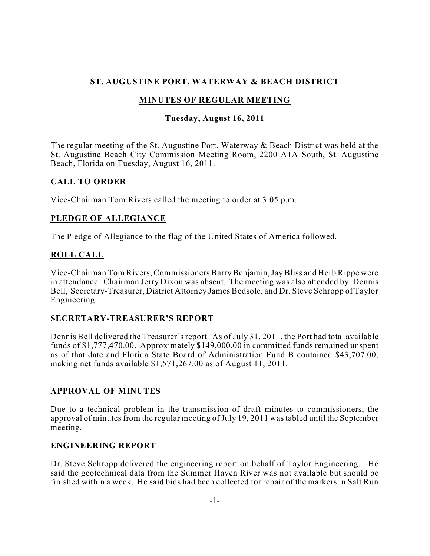## **ST. AUGUSTINE PORT, WATERWAY & BEACH DISTRICT**

# **MINUTES OF REGULAR MEETING**

## **Tuesday, August 16, 2011**

The regular meeting of the St. Augustine Port, Waterway & Beach District was held at the St. Augustine Beach City Commission Meeting Room, 2200 A1A South, St. Augustine Beach, Florida on Tuesday, August 16, 2011.

## **CALL TO ORDER**

Vice-Chairman Tom Rivers called the meeting to order at 3:05 p.m.

## **PLEDGE OF ALLEGIANCE**

The Pledge of Allegiance to the flag of the United States of America followed.

## **ROLL CALL**

Vice-Chairman Tom Rivers, Commissioners Barry Benjamin,Jay Bliss and Herb Rippe were in attendance. Chairman Jerry Dixon was absent. The meeting was also attended by: Dennis Bell, Secretary-Treasurer, District Attorney James Bedsole, and Dr. Steve Schropp of Taylor Engineering.

### **SECRETARY-TREASURER'S REPORT**

Dennis Bell delivered the Treasurer's report. As of July 31, 2011, the Port had total available funds of \$1,777,470.00. Approximately \$149,000.00 in committed funds remained unspent as of that date and Florida State Board of Administration Fund B contained \$43,707.00, making net funds available \$1,571,267.00 as of August 11, 2011.

### **APPROVAL OF MINUTES**

Due to a technical problem in the transmission of draft minutes to commissioners, the approval of minutes from the regular meeting of July 19, 2011 was tabled until the September meeting.

### **ENGINEERING REPORT**

Dr. Steve Schropp delivered the engineering report on behalf of Taylor Engineering. He said the geotechnical data from the Summer Haven River was not available but should be finished within a week. He said bids had been collected for repair of the markers in Salt Run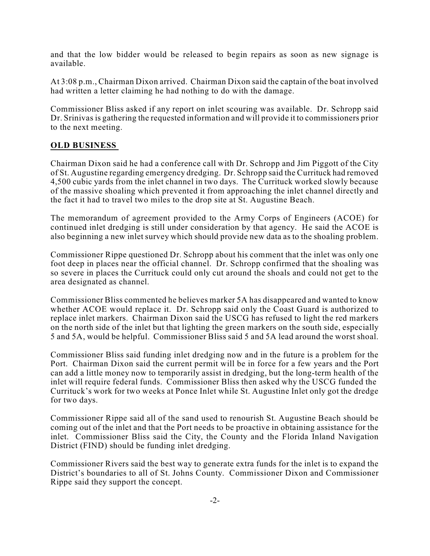and that the low bidder would be released to begin repairs as soon as new signage is available.

At 3:08 p.m., Chairman Dixon arrived. Chairman Dixon said the captain of the boat involved had written a letter claiming he had nothing to do with the damage.

Commissioner Bliss asked if any report on inlet scouring was available. Dr. Schropp said Dr. Srinivas is gathering the requested information and will provide it to commissioners prior to the next meeting.

### **OLD BUSINESS**

Chairman Dixon said he had a conference call with Dr. Schropp and Jim Piggott of the City of St. Augustine regarding emergency dredging. Dr. Schropp said the Currituck had removed 4,500 cubic yards from the inlet channel in two days. The Currituck worked slowly because of the massive shoaling which prevented it from approaching the inlet channel directly and the fact it had to travel two miles to the drop site at St. Augustine Beach.

The memorandum of agreement provided to the Army Corps of Engineers (ACOE) for continued inlet dredging is still under consideration by that agency. He said the ACOE is also beginning a new inlet survey which should provide new data as to the shoaling problem.

Commissioner Rippe questioned Dr. Schropp about his comment that the inlet was only one foot deep in places near the official channel. Dr. Schropp confirmed that the shoaling was so severe in places the Currituck could only cut around the shoals and could not get to the area designated as channel.

Commissioner Bliss commented he believes marker 5A has disappeared and wanted to know whether ACOE would replace it. Dr. Schropp said only the Coast Guard is authorized to replace inlet markers. Chairman Dixon said the USCG has refused to light the red markers on the north side of the inlet but that lighting the green markers on the south side, especially 5 and 5A, would be helpful. Commissioner Bliss said 5 and 5A lead around the worst shoal.

Commissioner Bliss said funding inlet dredging now and in the future is a problem for the Port. Chairman Dixon said the current permit will be in force for a few years and the Port can add a little money now to temporarily assist in dredging, but the long-term health of the inlet will require federal funds. Commissioner Bliss then asked why the USCG funded the Currituck's work for two weeks at Ponce Inlet while St. Augustine Inlet only got the dredge for two days.

Commissioner Rippe said all of the sand used to renourish St. Augustine Beach should be coming out of the inlet and that the Port needs to be proactive in obtaining assistance for the inlet. Commissioner Bliss said the City, the County and the Florida Inland Navigation District (FIND) should be funding inlet dredging.

Commissioner Rivers said the best way to generate extra funds for the inlet is to expand the District's boundaries to all of St. Johns County. Commissioner Dixon and Commissioner Rippe said they support the concept.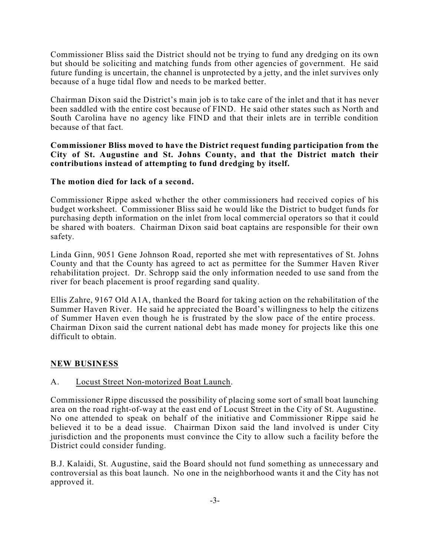Commissioner Bliss said the District should not be trying to fund any dredging on its own but should be soliciting and matching funds from other agencies of government. He said future funding is uncertain, the channel is unprotected by a jetty, and the inlet survives only because of a huge tidal flow and needs to be marked better.

Chairman Dixon said the District's main job is to take care of the inlet and that it has never been saddled with the entire cost because of FIND. He said other states such as North and South Carolina have no agency like FIND and that their inlets are in terrible condition because of that fact.

#### **Commissioner Bliss moved to have the District request funding participation from the City of St. Augustine and St. Johns County, and that the District match their contributions instead of attempting to fund dredging by itself.**

#### **The motion died for lack of a second.**

Commissioner Rippe asked whether the other commissioners had received copies of his budget worksheet. Commissioner Bliss said he would like the District to budget funds for purchasing depth information on the inlet from local commercial operators so that it could be shared with boaters. Chairman Dixon said boat captains are responsible for their own safety.

Linda Ginn, 9051 Gene Johnson Road, reported she met with representatives of St. Johns County and that the County has agreed to act as permittee for the Summer Haven River rehabilitation project. Dr. Schropp said the only information needed to use sand from the river for beach placement is proof regarding sand quality.

Ellis Zahre, 9167 Old A1A, thanked the Board for taking action on the rehabilitation of the Summer Haven River. He said he appreciated the Board's willingness to help the citizens of Summer Haven even though he is frustrated by the slow pace of the entire process. Chairman Dixon said the current national debt has made money for projects like this one difficult to obtain.

#### **NEW BUSINESS**

#### A. Locust Street Non-motorized Boat Launch.

Commissioner Rippe discussed the possibility of placing some sort of small boat launching area on the road right-of-way at the east end of Locust Street in the City of St. Augustine. No one attended to speak on behalf of the initiative and Commissioner Rippe said he believed it to be a dead issue. Chairman Dixon said the land involved is under City jurisdiction and the proponents must convince the City to allow such a facility before the District could consider funding.

B.J. Kalaidi, St. Augustine, said the Board should not fund something as unnecessary and controversial as this boat launch. No one in the neighborhood wants it and the City has not approved it.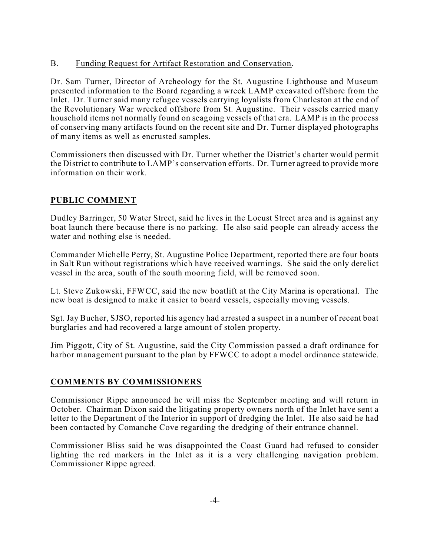### B. Funding Request for Artifact Restoration and Conservation.

Dr. Sam Turner, Director of Archeology for the St. Augustine Lighthouse and Museum presented information to the Board regarding a wreck LAMP excavated offshore from the Inlet. Dr. Turner said many refugee vessels carrying loyalists from Charleston at the end of the Revolutionary War wrecked offshore from St. Augustine. Their vessels carried many household items not normally found on seagoing vessels of that era. LAMP is in the process of conserving many artifacts found on the recent site and Dr. Turner displayed photographs of many items as well as encrusted samples.

Commissioners then discussed with Dr. Turner whether the District's charter would permit the District to contribute to LAMP's conservation efforts. Dr. Turner agreed to provide more information on their work.

## **PUBLIC COMMENT**

Dudley Barringer, 50 Water Street, said he lives in the Locust Street area and is against any boat launch there because there is no parking. He also said people can already access the water and nothing else is needed.

Commander Michelle Perry, St. Augustine Police Department, reported there are four boats in Salt Run without registrations which have received warnings. She said the only derelict vessel in the area, south of the south mooring field, will be removed soon.

Lt. Steve Zukowski, FFWCC, said the new boatlift at the City Marina is operational. The new boat is designed to make it easier to board vessels, especially moving vessels.

Sgt. Jay Bucher, SJSO, reported his agency had arrested a suspect in a number of recent boat burglaries and had recovered a large amount of stolen property.

Jim Piggott, City of St. Augustine, said the City Commission passed a draft ordinance for harbor management pursuant to the plan by FFWCC to adopt a model ordinance statewide.

### **COMMENTS BY COMMISSIONERS**

Commissioner Rippe announced he will miss the September meeting and will return in October. Chairman Dixon said the litigating property owners north of the Inlet have sent a letter to the Department of the Interior in support of dredging the Inlet. He also said he had been contacted by Comanche Cove regarding the dredging of their entrance channel.

Commissioner Bliss said he was disappointed the Coast Guard had refused to consider lighting the red markers in the Inlet as it is a very challenging navigation problem. Commissioner Rippe agreed.